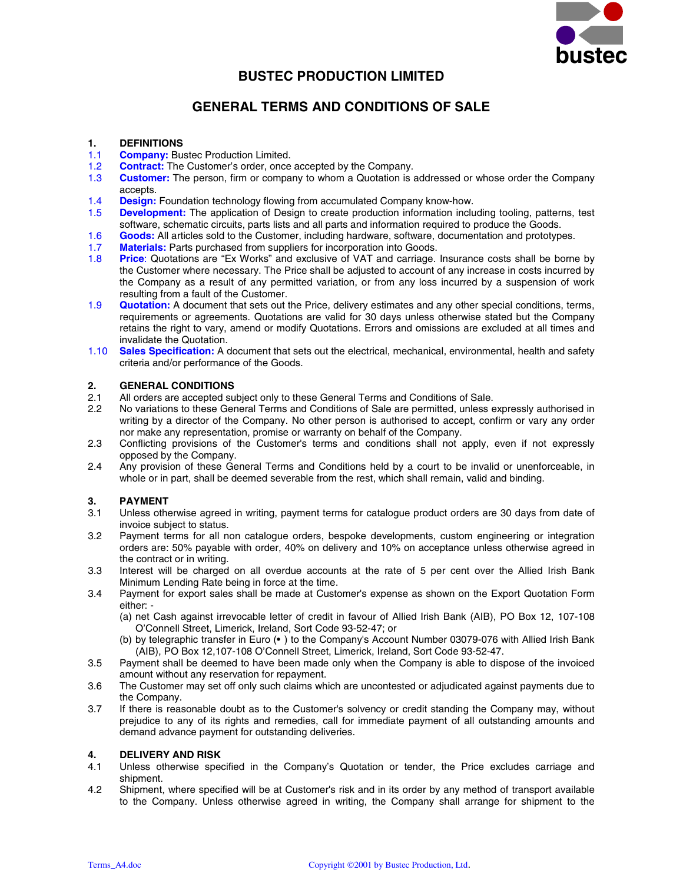

# **BUSTEC PRODUCTION LIMITED**

# **GENERAL TERMS AND CONDITIONS OF SALE**

# **1. DEFINITIONS**

- 1.1 **Company:** Bustec Production Limited.
- 1.2 **Contract:** The Customer's order, once accepted by the Company.<br>1.3 **Customer:** The person, firm or company to whom a Quotation is a
- **Customer:** The person, firm or company to whom a Quotation is addressed or whose order the Company accepts.
- 1.4 **Design:** Foundation technology flowing from accumulated Company know-how.
- 1.5 **Development:** The application of Design to create production information including tooling, patterns, test software, schematic circuits, parts lists and all parts and information required to produce the Goods.
- 1.6 **Goods:** All articles sold to the Customer, including hardware, software, documentation and prototypes.
- 1.7 **Materials:** Parts purchased from suppliers for incorporation into Goods.
- 1.8 **Price**: Quotations are "Ex Works" and exclusive of VAT and carriage. Insurance costs shall be borne by the Customer where necessary. The Price shall be adjusted to account of any increase in costs incurred by the Company as a result of any permitted variation, or from any loss incurred by a suspension of work resulting from a fault of the Customer.
- 1.9 **Quotation:** A document that sets out the Price, delivery estimates and any other special conditions, terms, requirements or agreements. Quotations are valid for 30 days unless otherwise stated but the Company retains the right to vary, amend or modify Quotations. Errors and omissions are excluded at all times and invalidate the Quotation.
- 1.10 **Sales Specification:** A document that sets out the electrical, mechanical, environmental, health and safety criteria and/or performance of the Goods.

# **2. GENERAL CONDITIONS**

- 2.1 All orders are accepted subject only to these General Terms and Conditions of Sale.
- 2.2 No variations to these General Terms and Conditions of Sale are permitted, unless expressly authorised in writing by a director of the Company. No other person is authorised to accept, confirm or vary any order nor make any representation, promise or warranty on behalf of the Company.
- 2.3 Conflicting provisions of the Customer's terms and conditions shall not apply, even if not expressly opposed by the Company.
- 2.4 Any provision of these General Terms and Conditions held by a court to be invalid or unenforceable, in whole or in part, shall be deemed severable from the rest, which shall remain, valid and binding.

# **3. PAYMENT**

- 3.1 Unless otherwise agreed in writing, payment terms for catalogue product orders are 30 days from date of invoice subject to status.
- 3.2 Payment terms for all non catalogue orders, bespoke developments, custom engineering or integration orders are: 50% payable with order, 40% on delivery and 10% on acceptance unless otherwise agreed in the contract or in writing.
- 3.3 Interest will be charged on all overdue accounts at the rate of 5 per cent over the Allied Irish Bank Minimum Lending Rate being in force at the time.
- 3.4 Payment for export sales shall be made at Customer's expense as shown on the Export Quotation Form either: -
	- (a) net Cash against irrevocable letter of credit in favour of Allied Irish Bank (AIB), PO Box 12, 107-108 O'Connell Street, Limerick, Ireland, Sort Code 93-52-47; or
	- (b) by telegraphic transfer in Euro (• ) to the Company's Account Number 03079-076 with Allied Irish Bank (AIB), PO Box 12,107-108 O'Connell Street, Limerick, Ireland, Sort Code 93-52-47.
- 3.5 Payment shall be deemed to have been made only when the Company is able to dispose of the invoiced amount without any reservation for repayment.
- 3.6 The Customer may set off only such claims which are uncontested or adjudicated against payments due to the Company.
- 3.7 If there is reasonable doubt as to the Customer's solvency or credit standing the Company may, without prejudice to any of its rights and remedies, call for immediate payment of all outstanding amounts and demand advance payment for outstanding deliveries.

# **4. DELIVERY AND RISK**<br>4.1 Unless otherwise spee

- Unless otherwise specified in the Company's Quotation or tender, the Price excludes carriage and shipment.
- 4.2 Shipment, where specified will be at Customer's risk and in its order by any method of transport available to the Company. Unless otherwise agreed in writing, the Company shall arrange for shipment to the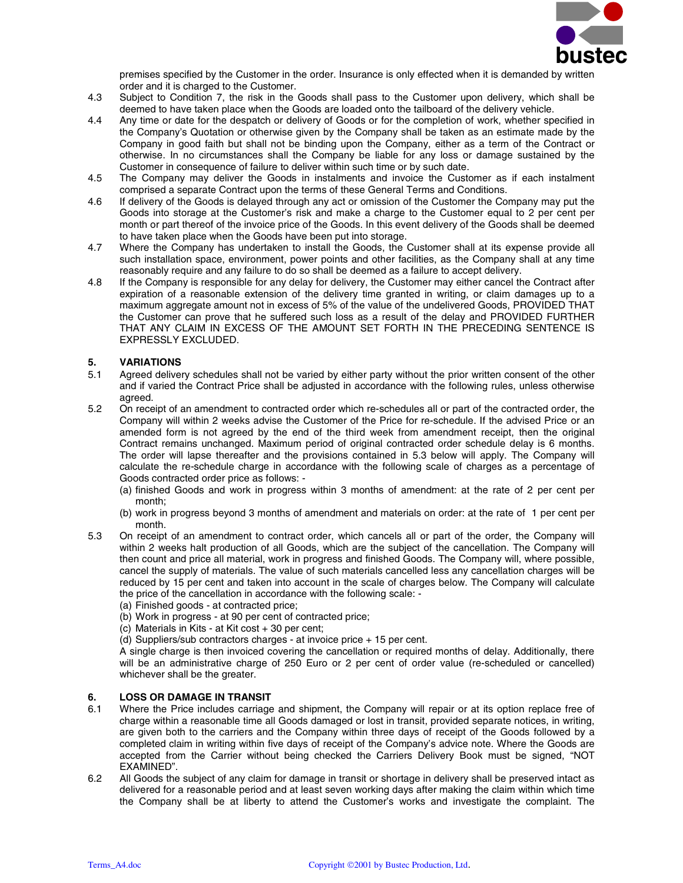

premises specified by the Customer in the order. Insurance is only effected when it is demanded by written order and it is charged to the Customer.

- 4.3 Subject to Condition 7, the risk in the Goods shall pass to the Customer upon delivery, which shall be deemed to have taken place when the Goods are loaded onto the tailboard of the delivery vehicle.
- 4.4 Any time or date for the despatch or delivery of Goods or for the completion of work, whether specified in the Company's Quotation or otherwise given by the Company shall be taken as an estimate made by the Company in good faith but shall not be binding upon the Company, either as a term of the Contract or otherwise. In no circumstances shall the Company be liable for any loss or damage sustained by the Customer in consequence of failure to deliver within such time or by such date.
- 4.5 The Company may deliver the Goods in instalments and invoice the Customer as if each instalment comprised a separate Contract upon the terms of these General Terms and Conditions.
- 4.6 If delivery of the Goods is delayed through any act or omission of the Customer the Company may put the Goods into storage at the Customer's risk and make a charge to the Customer equal to 2 per cent per month or part thereof of the invoice price of the Goods. In this event delivery of the Goods shall be deemed to have taken place when the Goods have been put into storage.
- 4.7 Where the Company has undertaken to install the Goods, the Customer shall at its expense provide all such installation space, environment, power points and other facilities, as the Company shall at any time reasonably require and any failure to do so shall be deemed as a failure to accept delivery.
- 4.8 If the Company is responsible for any delay for delivery, the Customer may either cancel the Contract after expiration of a reasonable extension of the delivery time granted in writing, or claim damages up to a maximum aggregate amount not in excess of 5% of the value of the undelivered Goods, PROVIDED THAT the Customer can prove that he suffered such loss as a result of the delay and PROVIDED FURTHER THAT ANY CLAIM IN EXCESS OF THE AMOUNT SET FORTH IN THE PRECEDING SENTENCE IS EXPRESSLY EXCLUDED.

# **5. VARIATIONS**

- 5.1 Agreed delivery schedules shall not be varied by either party without the prior written consent of the other and if varied the Contract Price shall be adjusted in accordance with the following rules, unless otherwise agreed.
- 5.2 On receipt of an amendment to contracted order which re-schedules all or part of the contracted order, the Company will within 2 weeks advise the Customer of the Price for re-schedule. If the advised Price or an amended form is not agreed by the end of the third week from amendment receipt, then the original Contract remains unchanged. Maximum period of original contracted order schedule delay is 6 months. The order will lapse thereafter and the provisions contained in 5.3 below will apply. The Company will calculate the re-schedule charge in accordance with the following scale of charges as a percentage of Goods contracted order price as follows: -
	- (a) finished Goods and work in progress within 3 months of amendment: at the rate of 2 per cent per month;
	- (b) work in progress beyond 3 months of amendment and materials on order: at the rate of 1 per cent per month.
- 5.3 On receipt of an amendment to contract order, which cancels all or part of the order, the Company will within 2 weeks halt production of all Goods, which are the subject of the cancellation. The Company will then count and price all material, work in progress and finished Goods. The Company will, where possible, cancel the supply of materials. The value of such materials cancelled less any cancellation charges will be reduced by 15 per cent and taken into account in the scale of charges below. The Company will calculate the price of the cancellation in accordance with the following scale: -
	- (a) Finished goods at contracted price;
	- (b) Work in progress at 90 per cent of contracted price;
	- (c) Materials in Kits at Kit cost + 30 per cent;
	- (d) Suppliers/sub contractors charges at invoice price + 15 per cent.

A single charge is then invoiced covering the cancellation or required months of delay. Additionally, there will be an administrative charge of 250 Euro or 2 per cent of order value (re-scheduled or cancelled) whichever shall be the greater.

#### **6. LOSS OR DAMAGE IN TRANSIT**

- 6.1 Where the Price includes carriage and shipment, the Company will repair or at its option replace free of charge within a reasonable time all Goods damaged or lost in transit, provided separate notices, in writing, are given both to the carriers and the Company within three days of receipt of the Goods followed by a completed claim in writing within five days of receipt of the Company's advice note. Where the Goods are accepted from the Carrier without being checked the Carriers Delivery Book must be signed, "NOT EXAMINED".
- 6.2 All Goods the subject of any claim for damage in transit or shortage in delivery shall be preserved intact as delivered for a reasonable period and at least seven working days after making the claim within which time the Company shall be at liberty to attend the Customer's works and investigate the complaint. The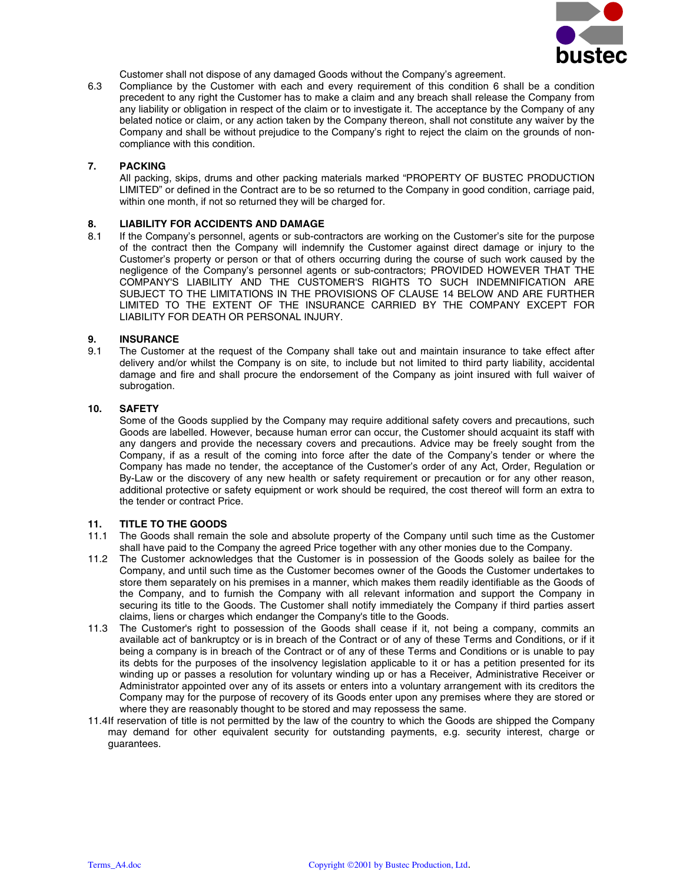

Customer shall not dispose of any damaged Goods without the Company's agreement.

6.3 Compliance by the Customer with each and every requirement of this condition 6 shall be a condition precedent to any right the Customer has to make a claim and any breach shall release the Company from any liability or obligation in respect of the claim or to investigate it. The acceptance by the Company of any belated notice or claim, or any action taken by the Company thereon, shall not constitute any waiver by the Company and shall be without prejudice to the Company's right to reject the claim on the grounds of noncompliance with this condition.

### **7. PACKING**

All packing, skips, drums and other packing materials marked "PROPERTY OF BUSTEC PRODUCTION LIMITED" or defined in the Contract are to be so returned to the Company in good condition, carriage paid, within one month, if not so returned they will be charged for.

# **8. LIABILITY FOR ACCIDENTS AND DAMAGE**

8.1 If the Company's personnel, agents or sub-contractors are working on the Customer's site for the purpose of the contract then the Company will indemnify the Customer against direct damage or injury to the Customer's property or person or that of others occurring during the course of such work caused by the negligence of the Company's personnel agents or sub-contractors; PROVIDED HOWEVER THAT THE COMPANY'S LIABILITY AND THE CUSTOMER'S RIGHTS TO SUCH INDEMNIFICATION ARE SUBJECT TO THE LIMITATIONS IN THE PROVISIONS OF CLAUSE 14 BELOW AND ARE FURTHER LIMITED TO THE EXTENT OF THE INSURANCE CARRIED BY THE COMPANY EXCEPT FOR LIABILITY FOR DEATH OR PERSONAL INJURY.

# **9. INSURANCE**<br>9.1 The Custome

The Customer at the request of the Company shall take out and maintain insurance to take effect after delivery and/or whilst the Company is on site, to include but not limited to third party liability, accidental damage and fire and shall procure the endorsement of the Company as joint insured with full waiver of subrogation.

#### **10. SAFETY**

Some of the Goods supplied by the Company may require additional safety covers and precautions, such Goods are labelled. However, because human error can occur, the Customer should acquaint its staff with any dangers and provide the necessary covers and precautions. Advice may be freely sought from the Company, if as a result of the coming into force after the date of the Company's tender or where the Company has made no tender, the acceptance of the Customer's order of any Act, Order, Regulation or By-Law or the discovery of any new health or safety requirement or precaution or for any other reason, additional protective or safety equipment or work should be required, the cost thereof will form an extra to the tender or contract Price.

#### **11. TITLE TO THE GOODS**

- 11.1 The Goods shall remain the sole and absolute property of the Company until such time as the Customer shall have paid to the Company the agreed Price together with any other monies due to the Company.
- 11.2 The Customer acknowledges that the Customer is in possession of the Goods solely as bailee for the Company, and until such time as the Customer becomes owner of the Goods the Customer undertakes to store them separately on his premises in a manner, which makes them readily identifiable as the Goods of the Company, and to furnish the Company with all relevant information and support the Company in securing its title to the Goods. The Customer shall notify immediately the Company if third parties assert claims, liens or charges which endanger the Company's title to the Goods.
- 11.3 The Customer's right to possession of the Goods shall cease if it, not being a company, commits an available act of bankruptcy or is in breach of the Contract or of any of these Terms and Conditions, or if it being a company is in breach of the Contract or of any of these Terms and Conditions or is unable to pay its debts for the purposes of the insolvency legislation applicable to it or has a petition presented for its winding up or passes a resolution for voluntary winding up or has a Receiver, Administrative Receiver or Administrator appointed over any of its assets or enters into a voluntary arrangement with its creditors the Company may for the purpose of recovery of its Goods enter upon any premises where they are stored or where they are reasonably thought to be stored and may repossess the same.
- 11.4 If reservation of title is not permitted by the law of the country to which the Goods are shipped the Company may demand for other equivalent security for outstanding payments, e.g. security interest, charge or guarantees.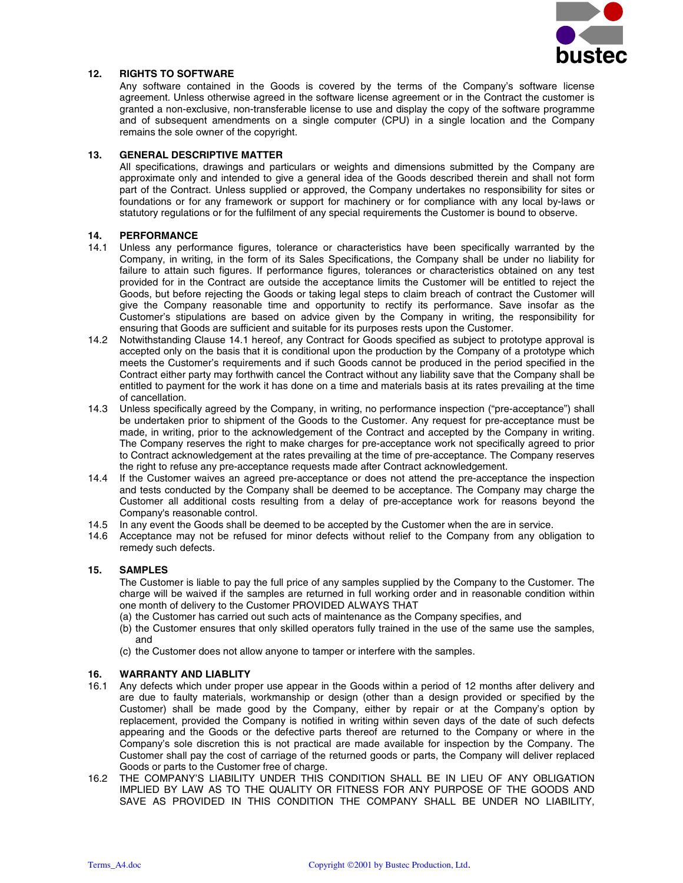

# **12. RIGHTS TO SOFTWARE**

Any software contained in the Goods is covered by the terms of the Company's software license agreement. Unless otherwise agreed in the software license agreement or in the Contract the customer is granted a non-exclusive, non-transferable license to use and display the copy of the software programme and of subsequent amendments on a single computer (CPU) in a single location and the Company remains the sole owner of the copyright.

#### **13. GENERAL DESCRIPTIVE MATTER**

All specifications, drawings and particulars or weights and dimensions submitted by the Company are approximate only and intended to give a general idea of the Goods described therein and shall not form part of the Contract. Unless supplied or approved, the Company undertakes no responsibility for sites or foundations or for any framework or support for machinery or for compliance with any local by-laws or statutory regulations or for the fulfilment of any special requirements the Customer is bound to observe.

#### **14. PERFORMANCE**

- 14.1 Unless any performance figures, tolerance or characteristics have been specifically warranted by the Company, in writing, in the form of its Sales Specifications, the Company shall be under no liability for failure to attain such figures. If performance figures, tolerances or characteristics obtained on any test provided for in the Contract are outside the acceptance limits the Customer will be entitled to reject the Goods, but before rejecting the Goods or taking legal steps to claim breach of contract the Customer will give the Company reasonable time and opportunity to rectify its performance. Save insofar as the Customer's stipulations are based on advice given by the Company in writing, the responsibility for ensuring that Goods are sufficient and suitable for its purposes rests upon the Customer.
- 14.2 Notwithstanding Clause 14.1 hereof, any Contract for Goods specified as subject to prototype approval is accepted only on the basis that it is conditional upon the production by the Company of a prototype which meets the Customer's requirements and if such Goods cannot be produced in the period specified in the Contract either party may forthwith cancel the Contract without any liability save that the Company shall be entitled to payment for the work it has done on a time and materials basis at its rates prevailing at the time of cancellation.
- 14.3 Unless specifically agreed by the Company, in writing, no performance inspection ("pre-acceptance") shall be undertaken prior to shipment of the Goods to the Customer. Any request for pre-acceptance must be made, in writing, prior to the acknowledgement of the Contract and accepted by the Company in writing. The Company reserves the right to make charges for pre-acceptance work not specifically agreed to prior to Contract acknowledgement at the rates prevailing at the time of pre-acceptance. The Company reserves the right to refuse any pre-acceptance requests made after Contract acknowledgement.
- 14.4 If the Customer waives an agreed pre-acceptance or does not attend the pre-acceptance the inspection and tests conducted by the Company shall be deemed to be acceptance. The Company may charge the Customer all additional costs resulting from a delay of pre-acceptance work for reasons beyond the Company's reasonable control.
- 14.5 In any event the Goods shall be deemed to be accepted by the Customer when the are in service.
- 14.6 Acceptance may not be refused for minor defects without relief to the Company from any obligation to remedy such defects.

#### **15. SAMPLES**

The Customer is liable to pay the full price of any samples supplied by the Company to the Customer. The charge will be waived if the samples are returned in full working order and in reasonable condition within one month of delivery to the Customer PROVIDED ALWAYS THAT

- (a) the Customer has carried out such acts of maintenance as the Company specifies, and
- (b) the Customer ensures that only skilled operators fully trained in the use of the same use the samples, and
- (c) the Customer does not allow anyone to tamper or interfere with the samples.

#### **16. WARRANTY AND LIABLITY**

- 16.1 Any defects which under proper use appear in the Goods within a period of 12 months after delivery and are due to faulty materials, workmanship or design (other than a design provided or specified by the Customer) shall be made good by the Company, either by repair or at the Company's option by replacement, provided the Company is notified in writing within seven days of the date of such defects appearing and the Goods or the defective parts thereof are returned to the Company or where in the Company's sole discretion this is not practical are made available for inspection by the Company. The Customer shall pay the cost of carriage of the returned goods or parts, the Company will deliver replaced Goods or parts to the Customer free of charge.
- 16.2 THE COMPANY'S LIABILITY UNDER THIS CONDITION SHALL BE IN LIEU OF ANY OBLIGATION IMPLIED BY LAW AS TO THE QUALITY OR FITNESS FOR ANY PURPOSE OF THE GOODS AND SAVE AS PROVIDED IN THIS CONDITION THE COMPANY SHALL BE UNDER NO LIABILITY,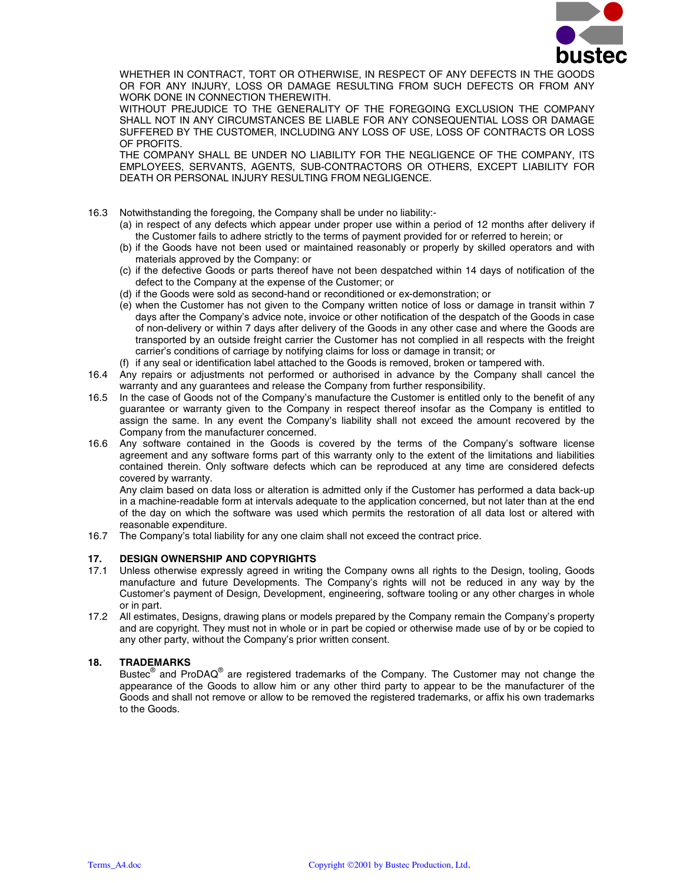

WHETHER IN CONTRACT, TORT OR OTHERWISE, IN RESPECT OF ANY DEFECTS IN THE GOODS OR FOR ANY INJURY, LOSS OR DAMAGE RESULTING FROM SUCH DEFECTS OR FROM ANY WORK DONE IN CONNECTION THEREWITH.

WITHOUT PREJUDICE TO THE GENERALITY OF THE FOREGOING EXCLUSION THE COMPANY SHALL NOT IN ANY CIRCUMSTANCES BE LIABLE FOR ANY CONSEQUENTIAL LOSS OR DAMAGE SUFFERED BY THE CUSTOMER, INCLUDING ANY LOSS OF USE, LOSS OF CONTRACTS OR LOSS OF PROFITS.

THE COMPANY SHALL BE UNDER NO LIABILITY FOR THE NEGLIGENCE OF THE COMPANY, ITS EMPLOYEES, SERVANTS, AGENTS, SUB-CONTRACTORS OR OTHERS, EXCEPT LIABILITY FOR DEATH OR PERSONAL INJURY RESULTING FROM NEGLIGENCE.

- 16.3 Notwithstanding the foregoing, the Company shall be under no liability:-
	- (a) in respect of any defects which appear under proper use within a period of 12 months after delivery if the Customer fails to adhere strictly to the terms of payment provided for or referred to herein; or
	- (b) if the Goods have not been used or maintained reasonably or properly by skilled operators and with materials approved by the Company: or
	- (c) if the defective Goods or parts thereof have not been despatched within 14 days of notification of the defect to the Company at the expense of the Customer; or
	- (d) if the Goods were sold as second-hand or reconditioned or ex-demonstration; or
	- (e) when the Customer has not given to the Company written notice of loss or damage in transit within 7 days after the Company's advice note, invoice or other notification of the despatch of the Goods in case of non-delivery or within 7 days after delivery of the Goods in any other case and where the Goods are transported by an outside freight carrier the Customer has not complied in all respects with the freight carrier's conditions of carriage by notifying claims for loss or damage in transit; or
	- (f) if any seal or identification label attached to the Goods is removed, broken or tampered with.
- 16.4 Any repairs or adjustments not performed or authorised in advance by the Company shall cancel the warranty and any guarantees and release the Company from further responsibility.
- 16.5 In the case of Goods not of the Company's manufacture the Customer is entitled only to the benefit of any guarantee or warranty given to the Company in respect thereof insofar as the Company is entitled to assign the same. In any event the Company's liability shall not exceed the amount recovered by the Company from the manufacturer concerned.
- 16.6 Any software contained in the Goods is covered by the terms of the Company's software license agreement and any software forms part of this warranty only to the extent of the limitations and liabilities contained therein. Only software defects which can be reproduced at any time are considered defects covered by warranty.

Any claim based on data loss or alteration is admitted only if the Customer has performed a data back-up in a machine-readable form at intervals adequate to the application concerned, but not later than at the end of the day on which the software was used which permits the restoration of all data lost or altered with reasonable expenditure.

16.7 The Company's total liability for any one claim shall not exceed the contract price.

#### **17. DESIGN OWNERSHIP AND COPYRIGHTS**

- 17.1 Unless otherwise expressly agreed in writing the Company owns all rights to the Design, tooling, Goods manufacture and future Developments. The Company's rights will not be reduced in any way by the Customer's payment of Design, Development, engineering, software tooling or any other charges in whole or in part.
- 17.2 All estimates, Designs, drawing plans or models prepared by the Company remain the Company's property and are copyright. They must not in whole or in part be copied or otherwise made use of by or be copied to any other party, without the Company's prior written consent.

# **18. TRADEMARKS**

Bustec $^{\circledR}$  and ProDAQ $^{\circledR}$  are registered trademarks of the Company. The Customer may not change the appearance of the Goods to allow him or any other third party to appear to be the manufacturer of the Goods and shall not remove or allow to be removed the registered trademarks, or affix his own trademarks to the Goods.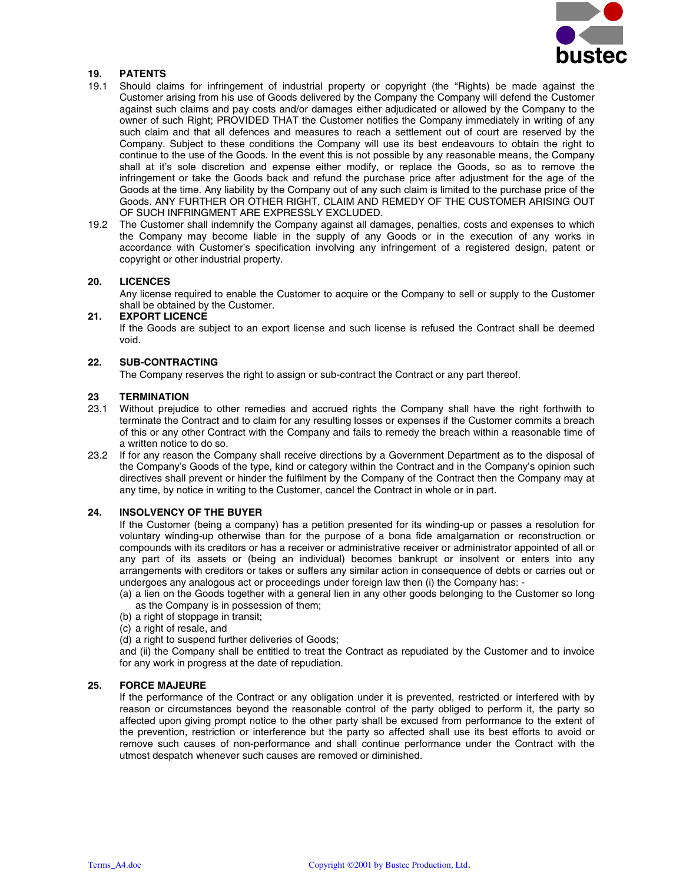

# **19. PATENTS**

- 19.1 Should claims for infringement of industrial property or copyright (the "Rights) be made against the Customer arising from his use of Goods delivered by the Company the Company will defend the Customer against such claims and pay costs and/or damages either adjudicated or allowed by the Company to the owner of such Right; PROVIDED THAT the Customer notifies the Company immediately in writing of any such claim and that all defences and measures to reach a settlement out of court are reserved by the Company. Subject to these conditions the Company will use its best endeavours to obtain the right to continue to the use of the Goods. In the event this is not possible by any reasonable means, the Company shall at it's sole discretion and expense either modify, or replace the Goods, so as to remove the infringement or take the Goods back and refund the purchase price after adjustment for the age of the Goods at the time. Any liability by the Company out of any such claim is limited to the purchase price of the Goods. ANY FURTHER OR OTHER RIGHT, CLAIM AND REMEDY OF THE CUSTOMER ARISING OUT OF SUCH INFRINGMENT ARE EXPRESSLY EXCLUDED.
- 19.2 The Customer shall indemnify the Company against all damages, penalties, costs and expenses to which the Company may become liable in the supply of any Goods or in the execution of any works in accordance with Customer's specification involving any infringement of a registered design, patent or copyright or other industrial property.

#### **20. LICENCES**

Any license required to enable the Customer to acquire or the Company to sell or supply to the Customer shall be obtained by the Customer.

#### **21. EXPORT LICENCE**

If the Goods are subject to an export license and such license is refused the Contract shall be deemed void.

#### **22. SUB-CONTRACTING**

The Company reserves the right to assign or sub-contract the Contract or any part thereof.

#### **23 TERMINATION**

- 23.1 Without prejudice to other remedies and accrued rights the Company shall have the right forthwith to terminate the Contract and to claim for any resulting losses or expenses if the Customer commits a breach of this or any other Contract with the Company and fails to remedy the breach within a reasonable time of a written notice to do so.
- 23.2 If for any reason the Company shall receive directions by a Government Department as to the disposal of the Company's Goods of the type, kind or category within the Contract and in the Company's opinion such directives shall prevent or hinder the fulfilment by the Company of the Contract then the Company may at any time, by notice in writing to the Customer, cancel the Contract in whole or in part.

#### **24. INSOLVENCY OF THE BUYER**

If the Customer (being a company) has a petition presented for its winding-up or passes a resolution for voluntary winding-up otherwise than for the purpose of a bona fide amalgamation or reconstruction or compounds with its creditors or has a receiver or administrative receiver or administrator appointed of all or any part of its assets or (being an individual) becomes bankrupt or insolvent or enters into any arrangements with creditors or takes or suffers any similar action in consequence of debts or carries out or undergoes any analogous act or proceedings under foreign law then (i) the Company has: -

- (a) a lien on the Goods together with a general lien in any other goods belonging to the Customer so long as the Company is in possession of them;
- (b) a right of stoppage in transit;
- (c) a right of resale, and
- (d) a right to suspend further deliveries of Goods;

and (ii) the Company shall be entitled to treat the Contract as repudiated by the Customer and to invoice for any work in progress at the date of repudiation.

#### **25. FORCE MAJEURE**

If the performance of the Contract or any obligation under it is prevented, restricted or interfered with by reason or circumstances beyond the reasonable control of the party obliged to perform it, the party so affected upon giving prompt notice to the other party shall be excused from performance to the extent of the prevention, restriction or interference but the party so affected shall use its best efforts to avoid or remove such causes of non-performance and shall continue performance under the Contract with the utmost despatch whenever such causes are removed or diminished.